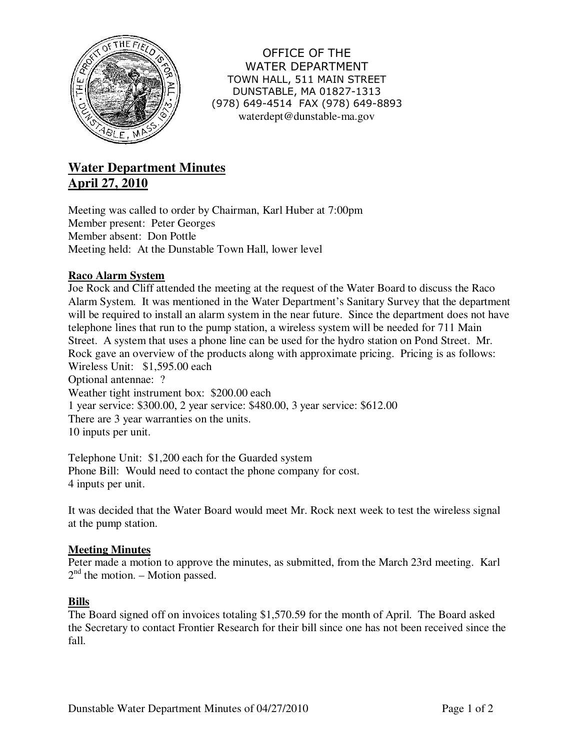

OFFICE OF THE WATER DEPARTMENT TOWN HALL, 511 MAIN STREET DUNSTABLE, MA 01827-1313 (978) 649-4514 FAX (978) 649-8893 waterdept@dunstable-ma.gov

# **Water Department Minutes April 27, 2010**

Meeting was called to order by Chairman, Karl Huber at 7:00pm Member present: Peter Georges Member absent: Don Pottle Meeting held: At the Dunstable Town Hall, lower level

# **Raco Alarm System**

Joe Rock and Cliff attended the meeting at the request of the Water Board to discuss the Raco Alarm System. It was mentioned in the Water Department's Sanitary Survey that the department will be required to install an alarm system in the near future. Since the department does not have telephone lines that run to the pump station, a wireless system will be needed for 711 Main Street. A system that uses a phone line can be used for the hydro station on Pond Street. Mr. Rock gave an overview of the products along with approximate pricing. Pricing is as follows: Wireless Unit: \$1,595.00 each Optional antennae: ? Weather tight instrument box: \$200.00 each 1 year service: \$300.00, 2 year service: \$480.00, 3 year service: \$612.00 There are 3 year warranties on the units.

10 inputs per unit.

Telephone Unit: \$1,200 each for the Guarded system Phone Bill: Would need to contact the phone company for cost. 4 inputs per unit.

It was decided that the Water Board would meet Mr. Rock next week to test the wireless signal at the pump station.

# **Meeting Minutes**

Peter made a motion to approve the minutes, as submitted, from the March 23rd meeting. Karl  $2<sup>nd</sup>$  the motion. – Motion passed.

## **Bills**

The Board signed off on invoices totaling \$1,570.59 for the month of April. The Board asked the Secretary to contact Frontier Research for their bill since one has not been received since the fall.